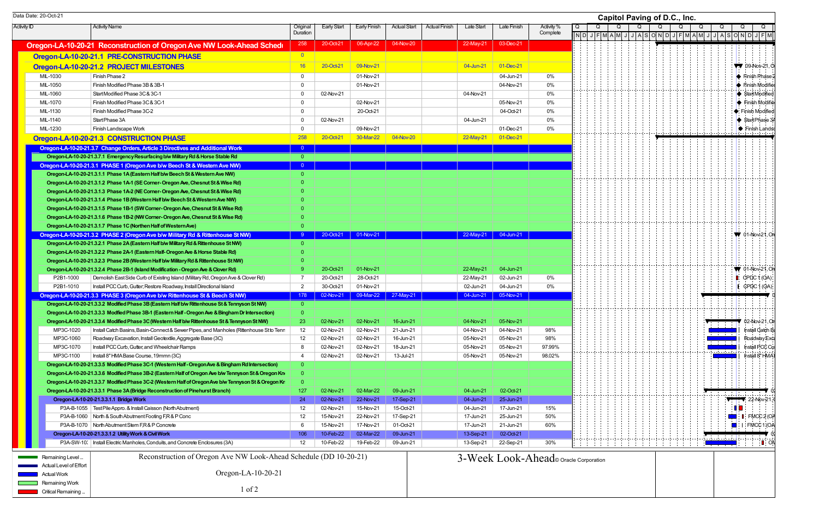| Data Date: 20-Oct-21                                                                                                                                                    |                      |                        |                        |                        |                                    |                        |                                        | Capitol Paving of D.C., Inc.                                                                                                                       |                                          |
|-------------------------------------------------------------------------------------------------------------------------------------------------------------------------|----------------------|------------------------|------------------------|------------------------|------------------------------------|------------------------|----------------------------------------|----------------------------------------------------------------------------------------------------------------------------------------------------|------------------------------------------|
| <b>Activity ID</b><br><b>Activity Name</b>                                                                                                                              | Original<br>Duration | <b>Early Start</b>     | Early Finish           | Actual Start           | <b>Actual Finish</b><br>Late Start | Late Finish            | Activity %<br>Complete                 | Q<br>Q<br>Q<br>Q<br>$\sqrt{2}$   N   D   J   F   M   A   M   J   J   A   S   O   N   D   J   F   M   A   M   J   J   A   S   O   N   D   J   F   M |                                          |
| Oregon-LA-10-20-21 Reconstruction of Oregon Ave NW Look-Ahead Schedu                                                                                                    | 258                  | 20-Oct-21              | 06-Apr-22              | 04-Nov-20              | 22-May-21                          | 03-Dec-21              |                                        |                                                                                                                                                    |                                          |
| Oregon-LA-10-20-21.1 PRE-CONSTRUCTION PHASE                                                                                                                             |                      |                        |                        |                        |                                    |                        |                                        |                                                                                                                                                    |                                          |
| Oregon-LA-10-20-21.2 PROJECT MILESTONES                                                                                                                                 | 16                   | 20-Oct-21              | 09-Nov-21              |                        | 04-Jun-21                          | 01-Dec-21              |                                        |                                                                                                                                                    | $\sqrt{7}$ 09-Nov-21.0                   |
| MIL-1030<br>Finish Phase 2                                                                                                                                              | $\mathbf 0$          |                        | 01-Nov-21              |                        |                                    | 04-Jun-21              | 0%                                     |                                                                                                                                                    | Finish Phase                             |
| MIL-1050<br>Finish Modified Phase 3B & 3B-1                                                                                                                             | $\overline{0}$       |                        | 01-Nov-21              |                        |                                    | 04-Nov-21              | $0\%$                                  |                                                                                                                                                    | $\blacktriangleright$ Finish Modifie     |
| Start Modified Phase 3C & 3C-1<br>MIL-1060                                                                                                                              | $\Omega$             | 02-Nov-21              |                        |                        | 04-Nov-21                          |                        | $0\%$                                  |                                                                                                                                                    | StartModified                            |
| MIL-1070<br>Finish Modified Phase 3C & 3C-1                                                                                                                             | 0                    |                        | 02-Nov-21              |                        |                                    | 05-Nov-21              | 0%                                     |                                                                                                                                                    | ♦ Finish Modifie                         |
| MIL-1130<br>Finish Modified Phase 3C-2                                                                                                                                  | $\Omega$             |                        | 20-Oct-21              |                        |                                    | 04-Oct-21              | 0%                                     |                                                                                                                                                    | Finish Modified                          |
| MIL-1140<br>Start Phase 3A                                                                                                                                              | $\Omega$             | 02-Nov-21              |                        |                        | 04-Jun-21                          |                        | $0\%$                                  |                                                                                                                                                    | Start Phase 3                            |
| MIL-1230<br>Finish Landscape Work                                                                                                                                       | $\Omega$             |                        | 09-Nov-21              |                        |                                    | 01-Dec-21              | 0%                                     |                                                                                                                                                    | Finish Landso                            |
| Oregon-LA-10-20-21.3 CONSTRUCTION PHASE                                                                                                                                 | 258                  | 20-Oct-21              | 30-Mar-22              | 04-Nov-20              | 22-May-21                          | $01 - Dec-21$          |                                        |                                                                                                                                                    |                                          |
| Oregon-LA-10-20-21.3.7 Change Orders, Article 3 Directives and Additional Work                                                                                          | $\bullet$            |                        |                        |                        |                                    |                        |                                        |                                                                                                                                                    |                                          |
| Oregon-LA-10-20-21.3.7.1 Emergency Resurfacing b/w Military Rd & Horse Stable Rd                                                                                        | $\overline{0}$       |                        |                        |                        |                                    |                        |                                        |                                                                                                                                                    |                                          |
| Oregon-LA-10-20-21.3.1 PHASE 1 (Oregon Ave b/w Beech St & Western Ave NW)                                                                                               |                      |                        |                        |                        |                                    |                        |                                        |                                                                                                                                                    |                                          |
| Oregon-LA-10-20-21.3.1.1 Phase 1A (Eastern Half b/w Beech St & Western Ave NW)                                                                                          |                      |                        |                        |                        |                                    |                        |                                        |                                                                                                                                                    |                                          |
| Oregon-LA-10-20-21.3.1.2 Phase 1A-1 (SE Corner-Oregon Ave, Chesnut St & Wise Rd)                                                                                        |                      |                        |                        |                        |                                    |                        |                                        |                                                                                                                                                    |                                          |
| Oregon-LA-10-20-21.3.1.3 Phase 1A-2 (NE Corner-Oregon Ave, Chesnut St & Wise Rd)                                                                                        |                      |                        |                        |                        |                                    |                        |                                        |                                                                                                                                                    |                                          |
| Oregon-LA-10-20-21.3.1.4 Phase 1B (Western Half b/w Beech St & Western Ave NW)                                                                                          |                      |                        |                        |                        |                                    |                        |                                        |                                                                                                                                                    |                                          |
| Oregon-LA-10-20-21.3.1.5 Phase 1B-1 (SW Corner-Oregon Ave, Chesnut St & Wise Rd)                                                                                        |                      |                        |                        |                        |                                    |                        |                                        |                                                                                                                                                    |                                          |
| Oregon-LA-10-20-21.3.1.6 Phase 1B-2 (NW Corner-Oregon Ave, Chesnut St & Wise Rd)                                                                                        |                      |                        |                        |                        |                                    |                        |                                        |                                                                                                                                                    |                                          |
| Oregon-LA-10-20-21.3.1.7 Phase 1C (Northen Half of Western Ave)                                                                                                         |                      |                        | 20-Oct-21 01-Nov-21    |                        |                                    | 22-May-21 04-Jun-21    |                                        |                                                                                                                                                    | <b>W</b> 01-Nov-21, On                   |
| Oregon-LA-10-20-21.3.2 PHASE 2 (Oregon Ave b/w Military Rd & Rittenhouse St NW)<br>Oregon-LA-10-20-21.3.2.1 Phase 2A (Eastern Half b/w Military Rd & Rittenhouse St NW) |                      |                        |                        |                        |                                    |                        |                                        |                                                                                                                                                    |                                          |
| Oregon-LA-10-20-21.3.2.2 Phase 2A-1 (Eastern Half-Oregon Ave & Horse Stable Rd)                                                                                         |                      |                        |                        |                        |                                    |                        |                                        |                                                                                                                                                    |                                          |
| Oregon-LA-10-20-21.3.2.3 Phase 2B (Western Half b/w Military Rd & Rittenhouse St NW)                                                                                    |                      |                        |                        |                        |                                    |                        |                                        |                                                                                                                                                    |                                          |
| Oregon-LA-10-20-21.3.2.4 Phase 2B-1 (Island Modification - Oregon Ave & Clover Rd)                                                                                      |                      | 20-Oct-21              | 01-Nov-21              |                        | 22-May-21                          | 04-Jun-21              |                                        |                                                                                                                                                    | $\blacktriangledown$ 01-Nov-21, One      |
| P2B1-1000<br>Demolish East Side Curb of Existing Island (Military Rd, Oregon Ave & Clover Rd)                                                                           |                      | 20-Oct-21              | 28-Oct-21              |                        | 22-May-21                          | 02-Jun-21              | 0%                                     |                                                                                                                                                    | $\bullet$ CPDC 1 (OA)                    |
| Install PCC Curb, Gutter; Restore Roadway, Install Directional Island<br>P2B1-1010                                                                                      | $\overline{2}$       | 30-Oct-21              | 01-Nov-21              |                        | 02-Jun-21                          | 04-Jun-21              | 0%                                     |                                                                                                                                                    | $\parallel$ CPDC 1 (OA)                  |
| Oregon-LA-10-20-21.3.3 PHASE 3 (Oregon Ave b/w Rittenhouse St & Beech St NW)                                                                                            | 178                  | 02-Nov-21              |                        | 09-Mar-22 27-May-21    | 04-Jun-21                          | 05-Nov-21              |                                        |                                                                                                                                                    |                                          |
| Oregon-LA-10-20-21.3.3.2 Modified Phase 3B (Eastern Half b/w Rittenhouse St & Tennyson St NW)                                                                           | $\overline{0}$       |                        |                        |                        |                                    |                        |                                        |                                                                                                                                                    |                                          |
| Oregon-LA-10-20-21.3.3.3 Modfied Phase 3B-1 (Eastern Half - Oregon Ave & Bingham Dr Intersection)                                                                       |                      |                        |                        |                        |                                    |                        |                                        |                                                                                                                                                    |                                          |
| Oregon-LA-10-20-21.3.3.4 Modified Phase 3C (Western Half b/w Rittenhouse St & Tennyson St NW)                                                                           | -23 -                | 02-Nov-21              | 02-Nov-21              | 16-Jun-21              | 04-Nov-21                          | 05-Nov-21              |                                        |                                                                                                                                                    | $\blacksquare$ 02-Nov-21, On             |
| MP3C-1020<br>Install Catch Basins, Basin-Connect & Sewer Pipes, and Manholes (Rittenhouse St to Tenr                                                                    | 12                   | 02-Nov-21              | 02-Nov-21              | 21-Jun-21              | 04-Nov-21                          | 04-Nov-21              | 98%                                    |                                                                                                                                                    | Install Catch E                          |
| Roadway Excavation, Install Geotextile, Aggregate Base (3C)<br>MP3C-1060                                                                                                | 12                   | 02-Nov-21              | 02-Nov-21              | 16-Jun-21              | 05-Nov-21                          | 05-Nov-21              | 98%                                    |                                                                                                                                                    | Roadway Exc                              |
| MP3C-1070<br>Install PCC Curb, Gutter, and Wheelchair Ramps                                                                                                             |                      | 02-Nov-21              | 02-Nov-21              | 18-Jun-21              | 05-Nov-21                          | 05-Nov-21              | 97.99%                                 |                                                                                                                                                    | Install PCC Cu                           |
| Install 8"HMA Base Course, 19mmn (3C)<br>MP3C-1100                                                                                                                      | -4                   | 02-Nov-21              | 02-Nov-21              | 13-Jul-21              | 05-Nov-21                          | 05-Nov-21              | 98.02%                                 |                                                                                                                                                    | Install 8" HMA                           |
| Oregon-LA-10-20-21.3.3.5 Modified Phase 3C-1 (Western Half - Oregon Ave & Bingham Rd Intersection)                                                                      |                      |                        |                        |                        |                                    |                        |                                        |                                                                                                                                                    |                                          |
| Oregon-LA-10-20-21.3.3.6 Modified Phase 3B-2 (Eastern Half of Oregon Ave b/w Tennyson St & Oregon Kn                                                                    |                      |                        |                        |                        |                                    |                        |                                        |                                                                                                                                                    |                                          |
| Oregon-LA-10-20-21.3.3.7 Modified Phase 3C-2 (Western Half of Oregon Ave b/w Tennyson St & Oregon Kr                                                                    |                      |                        |                        |                        |                                    |                        |                                        |                                                                                                                                                    |                                          |
| Oregon-LA-10-20-21.3.3.1 Phase 3A (Bridge Reconstruction of Pinehurst Branch)                                                                                           | 127                  | 02-Nov-21              | 02-Mar-22              | 09-Jun-21              | 04-Jun-21                          | 02-Oct-21              |                                        |                                                                                                                                                    |                                          |
| Oregon-LA-10-20-21.3.3.1.1 Bridge Work                                                                                                                                  | 24                   | 02-Nov-21              | 22-Nov-21              | 17-Sep-21              | 04-Jun-21                          | 25-Jun-21              |                                        |                                                                                                                                                    | $22-Nov-21$                              |
| P3A-B-1055   Test Pile Appro. & Install Caisson (North Abutment)<br>P3A-B-1060   North & South Abutment Footing F,R & P Conc                                            | 12                   | 02-Nov-21<br>15-Nov-21 | 15-Nov-21<br>22-Nov-21 | 15-Oct-21<br>17-Sep-21 | 04-Jun-21<br>17-Jun-21             | 17-Jun-21<br>25-Jun-21 | 15%<br>50%                             |                                                                                                                                                    | $\Box$ $\Box$ FMCC2(OA                   |
| P3A-B-1070   North Abutment Stem F,R & P Concrete                                                                                                                       | 12                   | 15-Nov-21              | 17-Nov-21              | 01-Oct-21              | 17-Jun-21                          | 21-Jun-21              | 60%                                    |                                                                                                                                                    | $\blacksquare$ $\blacksquare$ FMCC 1 (OA |
| Oregon-LA-10-20-21.3.3.1.2 Utility Work & Civil Work                                                                                                                    | 106                  | 10-Feb-22              | 02-Mar-22              | 09-Jun-21              | 13-Sep-21                          | 02-Oct-21              |                                        |                                                                                                                                                    |                                          |
| P3A-SW-10.   Install Electric Manholes, Conduits, and Concrete Enclosures (3A)                                                                                          | 12                   | 10-Feb-22              | 19-Feb-22              | 09-Jun-21              | 13-Sep-21                          | 22-Sep-21              | 30%                                    |                                                                                                                                                    | L ON                                     |
|                                                                                                                                                                         |                      |                        |                        |                        |                                    |                        |                                        |                                                                                                                                                    |                                          |
| Reconstruction of Oregon Ave NW Look-Ahead Schedule (DD 10-20-21)<br><b>EXAMPLE Remaining Level</b>                                                                     |                      |                        |                        |                        |                                    |                        | 3-Week Look-Ahead © Oracle Corporation |                                                                                                                                                    |                                          |
| Actual Level of Effort                                                                                                                                                  |                      |                        |                        |                        |                                    |                        |                                        |                                                                                                                                                    |                                          |
| Oregon-LA-10-20-21<br>Actual Work                                                                                                                                       |                      |                        |                        |                        |                                    |                        |                                        |                                                                                                                                                    |                                          |
| Remaining Work                                                                                                                                                          |                      |                        |                        |                        |                                    |                        |                                        |                                                                                                                                                    |                                          |
| $1$ of $2$<br><b>Critical Remaining</b>                                                                                                                                 |                      |                        |                        |                        |                                    |                        |                                        |                                                                                                                                                    |                                          |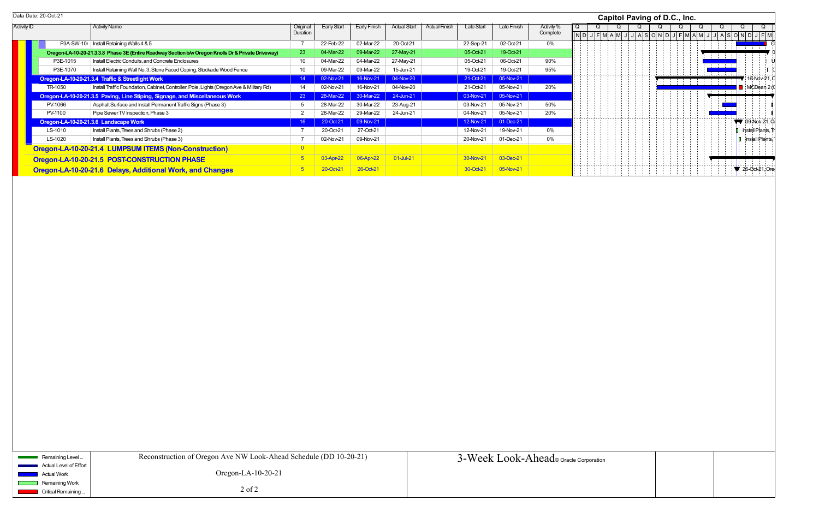|                    | Data Date: 20-Oct-21 |                                                                                                    |                      |                    |                     |                     |                      |            |             |                        |   |  | Capitol Paving of D.C., Inc. |   |  |
|--------------------|----------------------|----------------------------------------------------------------------------------------------------|----------------------|--------------------|---------------------|---------------------|----------------------|------------|-------------|------------------------|---|--|------------------------------|---|--|
| <b>Activity ID</b> |                      | <b>Activity Name</b>                                                                               | Original<br>Duration | <b>Early Start</b> | <b>Early Finish</b> | <b>Actual Start</b> | <b>Actual Finish</b> | Late Start | Late Finish | Activity %<br>Complete | Q |  |                              |   |  |
|                    |                      |                                                                                                    |                      |                    |                     |                     |                      |            |             |                        |   |  |                              |   |  |
|                    |                      | P3A-SW-10 $\iota$   Install Retaining Walls 4 & 5                                                  |                      | 22-Feb-22          | 02-Mar-22           | 20-Oct-21           |                      | 22-Sep-21  | 02-Oct-21   | 0%                     |   |  |                              |   |  |
|                    |                      | Oregon-LA-10-20-21.3.3.8 Phase 3E (Entire Roadway Section b/w Oregon Knolls Dr & Private Driveway) | 23                   | 04-Mar-22          | 09-Mar-22           | 27-May-21           |                      | 05-Oct-21  | 19-Oct-21   |                        |   |  |                              |   |  |
|                    | P3E-1015             | Install Electric Conduits, and Concrete Enclosures                                                 | 10                   | 04-Mar-22          | 04-Mar-22           | 27-May-21           |                      | 05-Oct-21  | 06-Oct-21   | 90%                    |   |  |                              |   |  |
|                    | P3E-1070             | Install Retaining Wall No. 3, Stone Faced Coping, Stockade Wood Fence                              | 10                   | 09-Mar-22          | 09-Mar-22           | 15-Jun-21           |                      | 19-Oct-21  | 19-Oct-21   | 95%                    |   |  |                              |   |  |
|                    |                      | Oregon-LA-10-20-21.3.4 Traffic & Streetlight Work                                                  | 14                   | 02-Nov-21          | 16-Nov-21           | 04-Nov-20           |                      | 21-Oct-21  | 05-Nov-21   |                        |   |  |                              | . |  |
|                    | TR-1050              | Install Traffic Foundation, Cabinet, Controller, Pole, Lights (Oregon Ave & Military Rd)           | 14                   | 02-Nov-21          | 16-Nov-21           | 04-Nov-20           |                      | 21-Oct-21  | 05-Nov-21   | 20%                    |   |  |                              |   |  |
|                    |                      | Oregon-LA-10-20-21.3.5 Paving, Line Stiping, Signage, and Miscellaneous Work                       | 23                   | 28-Mar-22          | 30-Mar-22           | 24-Jun-21           |                      | 03-Nov-21  | 05-Nov-21   |                        |   |  |                              |   |  |
|                    | PV-1066              | Asphalt Surface and Install Permanent Traffic Signs (Phase 3)                                      |                      | 28-Mar-22          | 30-Mar-22           | 23-Aug-21           |                      | 03-Nov-21  | 05-Nov-21   | 50%                    |   |  |                              |   |  |
|                    | PV-1100              | Pipe Sewer TV Inspection, Phase 3                                                                  |                      | 28-Mar-22          | 29-Mar-22           | 24-Jun-21           |                      | 04-Nov-21  | 05-Nov-21   | 20%                    |   |  |                              |   |  |
|                    |                      | Oregon-LA-10-20-21.3.6 Landscape Work                                                              | 16                   | 20-Oct-21          | 09-Nov-21           |                     |                      | 12-Nov-21  | 01-Dec-21   |                        |   |  |                              |   |  |
|                    | LS-1010              | Install Plants, Trees and Shrubs (Phase 2)                                                         |                      | 20-Oct-21          | 27-Oct-21           |                     |                      | 12-Nov-21  | 19-Nov-21   | 0%                     |   |  |                              |   |  |
|                    | LS-1020              | Install Plants, Trees and Shrubs (Phase 3)                                                         |                      | 02-Nov-21          | 09-Nov-21           |                     |                      | 20-Nov-21  | 01-Dec-21   | 0%                     |   |  |                              |   |  |
|                    |                      | Oregon-LA-10-20-21.4 LUMPSUM ITEMS (Non-Construction)                                              |                      |                    |                     |                     |                      |            |             |                        |   |  |                              |   |  |
|                    |                      | Oregon-LA-10-20-21.5 POST-CONSTRUCTION PHASE                                                       |                      | 03-Apr-2           | 06-Apr-22           | 01-Jul-21           |                      | 30-Nov-21  | 03-Dec-21   |                        |   |  |                              |   |  |
|                    |                      | Oregon-LA-10-20-21.6 Delays, Additional Work, and Changes                                          |                      | $20$ -Oct-2        | 26-Oct-21           |                     |                      | 30-Oct-21  | 05-Nov-21   |                        |   |  |                              |   |  |

|                |                                                                                                                                                                                                                                                                                                                                                          | <b>Capitol Paving of D.C., Inc.</b> |                         |  |   |  |                |  |                |  |                |  |                        |            |                   |                |  |                               |                                                            |
|----------------|----------------------------------------------------------------------------------------------------------------------------------------------------------------------------------------------------------------------------------------------------------------------------------------------------------------------------------------------------------|-------------------------------------|-------------------------|--|---|--|----------------|--|----------------|--|----------------|--|------------------------|------------|-------------------|----------------|--|-------------------------------|------------------------------------------------------------|
| $\overline{Q}$ | $\sqrt{N}$ d $\sqrt{N}$ d $\sqrt{N}$ da $\sqrt{N}$ da $\sqrt{N}$ da $\sqrt{N}$ da $\sqrt{N}$ da $\sqrt{N}$ da $\sqrt{N}$ da $\sqrt{N}$ da $\sqrt{N}$ da $\sqrt{N}$ da $\sqrt{N}$ da $\sqrt{N}$ da $\sqrt{N}$ da $\sqrt{N}$ da $\sqrt{N}$ da $\sqrt{N}$ da $\sqrt{N}$ da $\sqrt{N}$ da $\sqrt{N}$ da $\sqrt{N}$ da $\sqrt{N}$ da $\sqrt{N}$ da $\sqrt{N}$ | $\overline{\mathsf{Q}}$             | $\overline{\mathsf{Q}}$ |  | Q |  | $\overline{Q}$ |  | $\overline{Q}$ |  | $\overline{Q}$ |  | $\overline{Q}$         |            |                   | $\overline{Q}$ |  | $\mathsf Q$                   |                                                            |
|                |                                                                                                                                                                                                                                                                                                                                                          |                                     |                         |  |   |  |                |  |                |  |                |  |                        | 生生生        |                   |                |  | the project of the control of | Ċ                                                          |
|                |                                                                                                                                                                                                                                                                                                                                                          |                                     |                         |  |   |  |                |  |                |  |                |  |                        |            |                   |                |  |                               |                                                            |
|                |                                                                                                                                                                                                                                                                                                                                                          |                                     |                         |  |   |  | $\sim$         |  |                |  |                |  | and a small small show | <b>ALC</b> |                   |                |  |                               | $' 16-Nov-21, C$<br>$\Box$ MCDean 2 (c)                    |
|                |                                                                                                                                                                                                                                                                                                                                                          |                                     |                         |  |   |  |                |  |                |  |                |  | $\sim$                 | $\sim$     | $\mathbf{r}$<br>÷ |                |  |                               |                                                            |
|                |                                                                                                                                                                                                                                                                                                                                                          |                                     |                         |  |   |  |                |  |                |  |                |  |                        |            |                   |                |  |                               |                                                            |
|                |                                                                                                                                                                                                                                                                                                                                                          |                                     |                         |  |   |  |                |  |                |  |                |  |                        |            |                   |                |  |                               | $\sqrt{ }$ 09-Nov-21, O<br>$\mathbf{I}$ Install Plants, Tr |
|                |                                                                                                                                                                                                                                                                                                                                                          |                                     |                         |  |   |  |                |  |                |  |                |  |                        |            |                   |                |  |                               | $\blacksquare$ Install Plants,                             |
|                |                                                                                                                                                                                                                                                                                                                                                          |                                     |                         |  |   |  |                |  |                |  |                |  |                        |            |                   |                |  |                               |                                                            |
|                |                                                                                                                                                                                                                                                                                                                                                          |                                     |                         |  |   |  |                |  |                |  |                |  |                        |            |                   |                |  |                               | $\bigvee$ 26-Oct-21, Ore                                   |
|                |                                                                                                                                                                                                                                                                                                                                                          |                                     |                         |  |   |  |                |  |                |  |                |  |                        |            |                   |                |  |                               |                                                            |
|                |                                                                                                                                                                                                                                                                                                                                                          |                                     |                         |  |   |  |                |  |                |  |                |  |                        |            |                   |                |  |                               |                                                            |
|                |                                                                                                                                                                                                                                                                                                                                                          |                                     |                         |  |   |  |                |  |                |  |                |  |                        |            |                   |                |  |                               |                                                            |
|                |                                                                                                                                                                                                                                                                                                                                                          |                                     |                         |  |   |  |                |  |                |  |                |  |                        |            |                   |                |  |                               |                                                            |
|                |                                                                                                                                                                                                                                                                                                                                                          |                                     |                         |  |   |  |                |  |                |  |                |  |                        |            |                   |                |  |                               |                                                            |
|                |                                                                                                                                                                                                                                                                                                                                                          |                                     |                         |  |   |  |                |  |                |  |                |  |                        |            |                   |                |  |                               |                                                            |
|                |                                                                                                                                                                                                                                                                                                                                                          |                                     |                         |  |   |  |                |  |                |  |                |  |                        |            |                   |                |  |                               |                                                            |
|                |                                                                                                                                                                                                                                                                                                                                                          |                                     |                         |  |   |  |                |  |                |  |                |  |                        |            |                   |                |  |                               |                                                            |
|                |                                                                                                                                                                                                                                                                                                                                                          |                                     |                         |  |   |  |                |  |                |  |                |  |                        |            |                   |                |  |                               |                                                            |
|                |                                                                                                                                                                                                                                                                                                                                                          |                                     |                         |  |   |  |                |  |                |  |                |  |                        |            |                   |                |  |                               |                                                            |
|                |                                                                                                                                                                                                                                                                                                                                                          |                                     |                         |  |   |  |                |  |                |  |                |  |                        |            |                   |                |  |                               |                                                            |
|                |                                                                                                                                                                                                                                                                                                                                                          |                                     |                         |  |   |  |                |  |                |  |                |  |                        |            |                   |                |  |                               |                                                            |
|                |                                                                                                                                                                                                                                                                                                                                                          |                                     |                         |  |   |  |                |  |                |  |                |  |                        |            |                   |                |  |                               |                                                            |
|                |                                                                                                                                                                                                                                                                                                                                                          |                                     |                         |  |   |  |                |  |                |  |                |  |                        |            |                   |                |  |                               |                                                            |
|                |                                                                                                                                                                                                                                                                                                                                                          |                                     |                         |  |   |  |                |  |                |  |                |  |                        |            |                   |                |  |                               |                                                            |
|                |                                                                                                                                                                                                                                                                                                                                                          |                                     |                         |  |   |  |                |  |                |  |                |  |                        |            |                   |                |  |                               |                                                            |
|                |                                                                                                                                                                                                                                                                                                                                                          |                                     |                         |  |   |  |                |  |                |  |                |  |                        |            |                   |                |  |                               |                                                            |
|                | cle Corporation                                                                                                                                                                                                                                                                                                                                          |                                     |                         |  |   |  |                |  |                |  |                |  |                        |            |                   |                |  |                               |                                                            |
|                |                                                                                                                                                                                                                                                                                                                                                          |                                     |                         |  |   |  |                |  |                |  |                |  |                        |            |                   |                |  |                               |                                                            |
|                |                                                                                                                                                                                                                                                                                                                                                          |                                     |                         |  |   |  |                |  |                |  |                |  |                        |            |                   |                |  |                               |                                                            |

| Remaining Level                              | Reconstruction of Oregon Ave NW Look-Ahead Schedule (DD 10-20-21) | 3-Week Look-Ahead oracle Corporation |
|----------------------------------------------|-------------------------------------------------------------------|--------------------------------------|
| Actual Level of Effort<br><u> Tanzania (</u> |                                                                   |                                      |
| Actual Work                                  | Oregon-LA- $10-20-21$                                             |                                      |
| Remaining Work                               |                                                                   |                                      |
| Critical Remaining                           | $2$ of $2$                                                        |                                      |
|                                              |                                                                   |                                      |